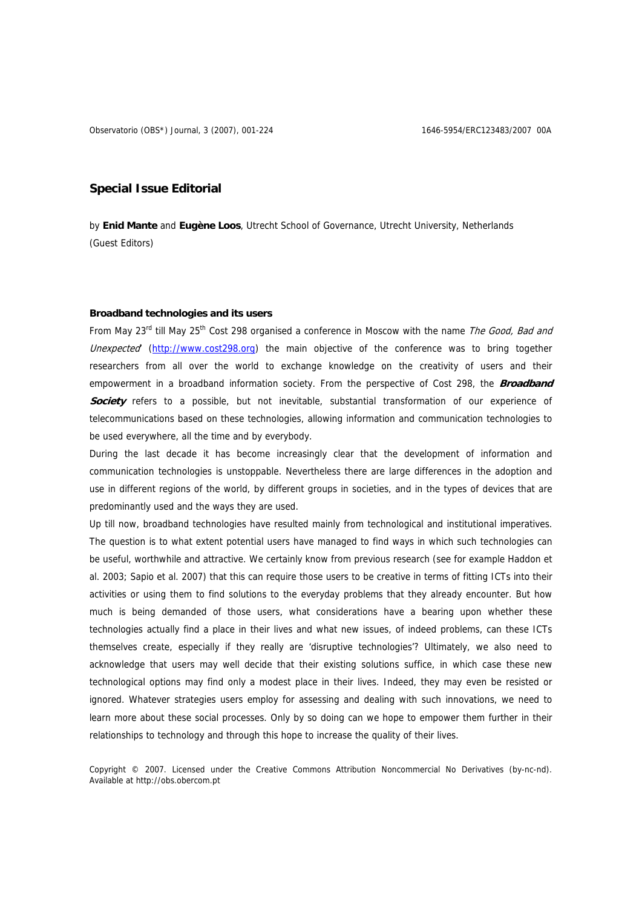# **Special Issue Editorial**

by **Enid Mante** and **Eugène Loos**, Utrecht School of Governance, Utrecht University, Netherlands (Guest Editors)

## **Broadband technologies and its users**

From May 23<sup>rd</sup> till May 25<sup>th</sup> Cost 298 organised a conference in Moscow with the name The Good, Bad and Unexpected (http:/[/www.cost298.org\)](http://www.cost298.org/) the main objective of the conference was to bring together researchers from all over the world to exchange knowledge on the creativity of users and their empowerment in a broadband information society. From the perspective of Cost 298, the **Broadband Society** refers to a possible, but not inevitable, substantial transformation of our experience of telecommunications based on these technologies, allowing information and communication technologies to be used everywhere, all the time and by everybody.

During the last decade it has become increasingly clear that the development of information and communication technologies is unstoppable. Nevertheless there are large differences in the adoption and use in different regions of the world, by different groups in societies, and in the types of devices that are predominantly used and the ways they are used.

Up till now, broadband technologies have resulted mainly from technological and institutional imperatives. The question is to what extent potential users have managed to find ways in which such technologies can be useful, worthwhile and attractive. We certainly know from previous research (see for example Haddon et al. 2003; Sapio et al. 2007) that this can require those users to be creative in terms of fitting ICTs into their activities or using them to find solutions to the everyday problems that they already encounter. But how much is being demanded of those users, what considerations have a bearing upon whether these technologies actually find a place in their lives and what new issues, of indeed problems, can these ICTs themselves create, especially if they really are 'disruptive technologies'? Ultimately, we also need to acknowledge that users may well decide that their existing solutions suffice, in which case these new technological options may find only a modest place in their lives. Indeed, they may even be resisted or ignored. Whatever strategies users employ for assessing and dealing with such innovations, we need to learn more about these social processes. Only by so doing can we hope to empower them further in their relationships to technology and through this hope to increase the quality of their lives.

Copyright © 2007. Licensed under the Creative Commons Attribution Noncommercial No Derivatives (by-nc-nd). Available at http://obs.obercom.pt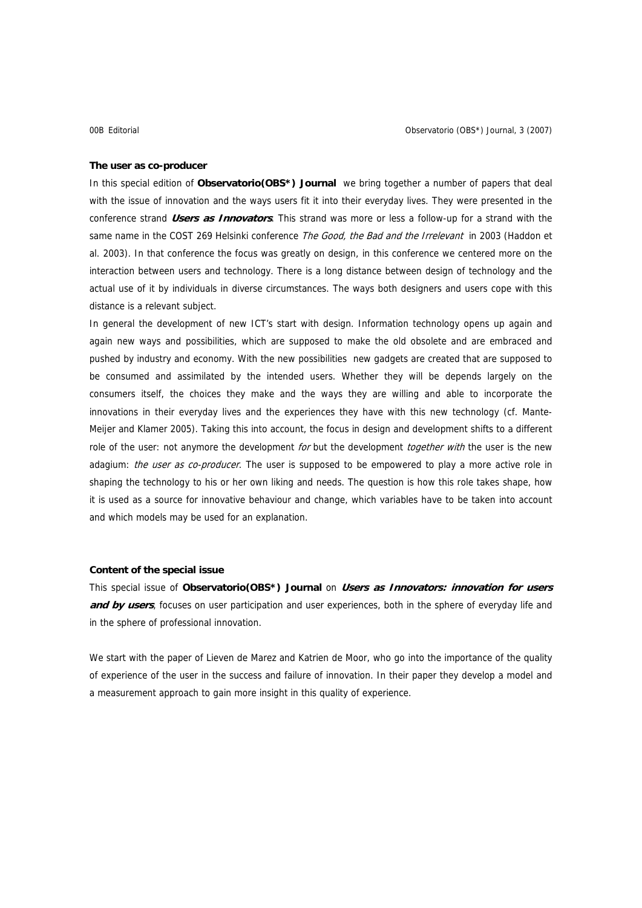#### **The user as co-producer**

In this special edition of **Observatorio(OBS\*) Journal** we bring together a number of papers that deal with the issue of innovation and the ways users fit it into their everyday lives. They were presented in the conference strand **Users as Innovators**. This strand was more or less a follow-up for a strand with the same name in the COST 269 Helsinki conference The Good, the Bad and the Irrelevant in 2003 (Haddon et al. 2003). In that conference the focus was greatly on design, in this conference we centered more on the interaction between users and technology. There is a long distance between design of technology and the actual use of it by individuals in diverse circumstances. The ways both designers and users cope with this distance is a relevant subject.

In general the development of new ICT's start with design. Information technology opens up again and again new ways and possibilities, which are supposed to make the old obsolete and are embraced and pushed by industry and economy. With the new possibilities new gadgets are created that are supposed to be consumed and assimilated by the intended users. Whether they will be depends largely on the consumers itself, the choices they make and the ways they are willing and able to incorporate the innovations in their everyday lives and the experiences they have with this new technology (cf. Mante-Meijer and Klamer 2005). Taking this into account, the focus in design and development shifts to a different role of the user: not anymore the development for but the development together with the user is the new adagium: the user as co-producer. The user is supposed to be empowered to play a more active role in shaping the technology to his or her own liking and needs. The question is how this role takes shape, how it is used as a source for innovative behaviour and change, which variables have to be taken into account and which models may be used for an explanation.

### **Content of the special issue**

This special issue of **Observatorio(OBS\*) Journal** on **Users as Innovators: innovation for users**  and by users, focuses on user participation and user experiences, both in the sphere of everyday life and in the sphere of professional innovation.

We start with the paper of Lieven de Marez and Katrien de Moor, who go into the importance of the quality of experience of the user in the success and failure of innovation. In their paper they develop a model and a measurement approach to gain more insight in this quality of experience.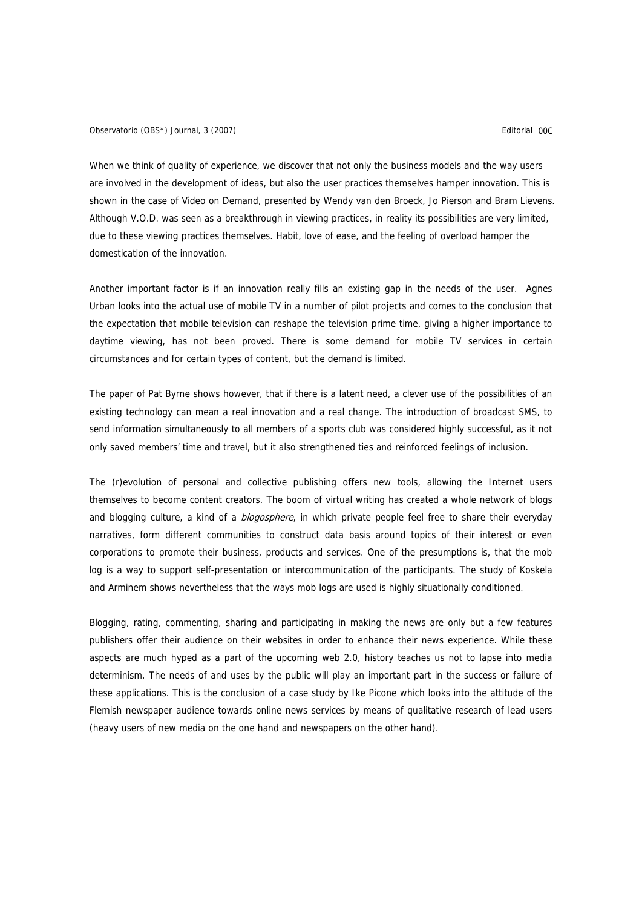Observatorio (OBS\*) Journal, 3 (2007) Editorial 00C

When we think of quality of experience, we discover that not only the business models and the way users are involved in the development of ideas, but also the user practices themselves hamper innovation. This is shown in the case of Video on Demand, presented by Wendy van den Broeck, Jo Pierson and Bram Lievens. Although V.O.D. was seen as a breakthrough in viewing practices, in reality its possibilities are very limited, due to these viewing practices themselves. Habit, love of ease, and the feeling of overload hamper the domestication of the innovation.

Another important factor is if an innovation really fills an existing gap in the needs of the user. Agnes Urban looks into the actual use of mobile TV in a number of pilot projects and comes to the conclusion that the expectation that mobile television can reshape the television prime time, giving a higher importance to daytime viewing, has not been proved. There is some demand for mobile TV services in certain circumstances and for certain types of content, but the demand is limited.

The paper of Pat Byrne shows however, that if there is a latent need, a clever use of the possibilities of an existing technology can mean a real innovation and a real change. The introduction of broadcast SMS, to send information simultaneously to all members of a sports club was considered highly successful, as it not only saved members' time and travel, but it also strengthened ties and reinforced feelings of inclusion.

The (r)evolution of personal and collective publishing offers new tools, allowing the Internet users themselves to become content creators. The boom of virtual writing has created a whole network of blogs and blogging culture, a kind of a *blogosphere*, in which private people feel free to share their everyday narratives, form different communities to construct data basis around topics of their interest or even corporations to promote their business, products and services. One of the presumptions is, that the mob log is a way to support self-presentation or intercommunication of the participants. The study of Koskela and Arminem shows nevertheless that the ways mob logs are used is highly situationally conditioned.

Blogging, rating, commenting, sharing and participating in making the news are only but a few features publishers offer their audience on their websites in order to enhance their news experience. While these aspects are much hyped as a part of the upcoming web 2.0, history teaches us not to lapse into media determinism. The needs of and uses by the public will play an important part in the success or failure of these applications. This is the conclusion of a case study by Ike Picone which looks into the attitude of the Flemish newspaper audience towards online news services by means of qualitative research of lead users (heavy users of new media on the one hand and newspapers on the other hand).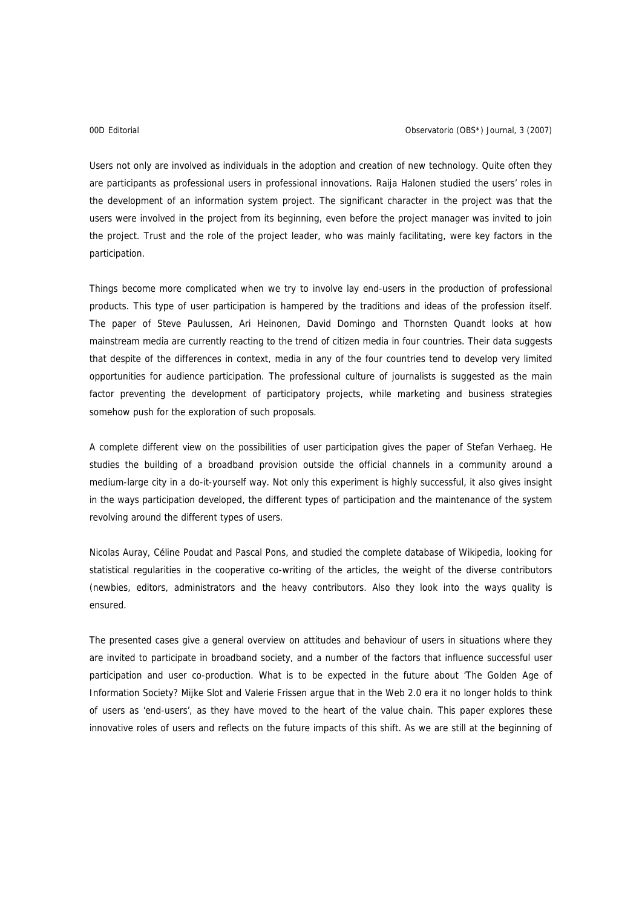Users not only are involved as individuals in the adoption and creation of new technology. Quite often they are participants as professional users in professional innovations. Raija Halonen studied the users' roles in the development of an information system project. The significant character in the project was that the users were involved in the project from its beginning, even before the project manager was invited to join the project. Trust and the role of the project leader, who was mainly facilitating, were key factors in the participation.

Things become more complicated when we try to involve lay end-users in the production of professional products. This type of user participation is hampered by the traditions and ideas of the profession itself. The paper of Steve Paulussen, Ari Heinonen, David Domingo and Thornsten Quandt looks at how mainstream media are currently reacting to the trend of citizen media in four countries. Their data suggests that despite of the differences in context, media in any of the four countries tend to develop very limited opportunities for audience participation. The professional culture of journalists is suggested as the main factor preventing the development of participatory projects, while marketing and business strategies somehow push for the exploration of such proposals.

A complete different view on the possibilities of user participation gives the paper of Stefan Verhaeg. He studies the building of a broadband provision outside the official channels in a community around a medium-large city in a do-it-yourself way. Not only this experiment is highly successful, it also gives insight in the ways participation developed, the different types of participation and the maintenance of the system revolving around the different types of users.

Nicolas Auray, Céline Poudat and Pascal Pons, and studied the complete database of Wikipedia, looking for statistical regularities in the cooperative co-writing of the articles, the weight of the diverse contributors (newbies, editors, administrators and the heavy contributors. Also they look into the ways quality is ensured.

The presented cases give a general overview on attitudes and behaviour of users in situations where they are invited to participate in broadband society, and a number of the factors that influence successful user participation and user co-production. What is to be expected in the future about 'The Golden Age of Information Society? Mijke Slot and Valerie Frissen argue that in the Web 2.0 era it no longer holds to think of users as 'end-users', as they have moved to the heart of the value chain. This paper explores these innovative roles of users and reflects on the future impacts of this shift. As we are still at the beginning of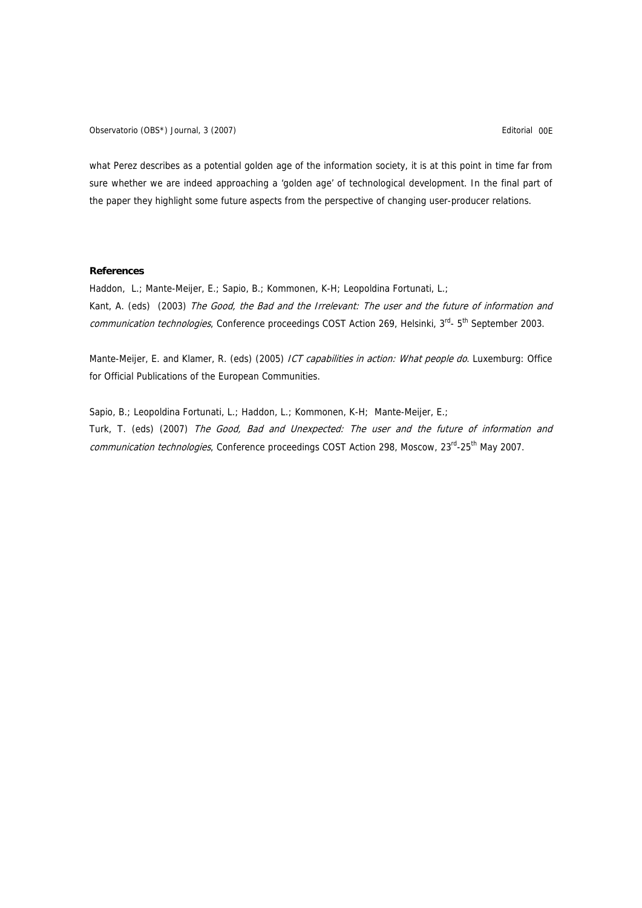Observatorio (OBS\*) Journal, 3 (2007) Editorial 00E

what Perez describes as a potential golden age of the information society, it is at this point in time far from sure whether we are indeed approaching a 'golden age' of technological development. In the final part of the paper they highlight some future aspects from the perspective of changing user-producer relations.

### **References**

Haddon, L.; Mante-Meijer, E.; Sapio, B.; Kommonen, K-H; Leopoldina Fortunati, L.; Kant, A. (eds) (2003) The Good, the Bad and the Irrelevant: The user and the future of information and communication technologies, Conference proceedings COST Action 269, Helsinki, 3rd- 5<sup>th</sup> September 2003.

Mante-Meijer, E. and Klamer, R. (eds) (2005) ICT capabilities in action: What people do. Luxemburg: Office for Official Publications of the European Communities.

Sapio, B.; Leopoldina Fortunati, L.; Haddon, L.; Kommonen, K-H; Mante-Meijer, E.; Turk, T. (eds) (2007) The Good, Bad and Unexpected: The user and the future of information and communication technologies, Conference proceedings COST Action 298, Moscow, 23<sup>rd</sup>-25<sup>th</sup> May 2007.